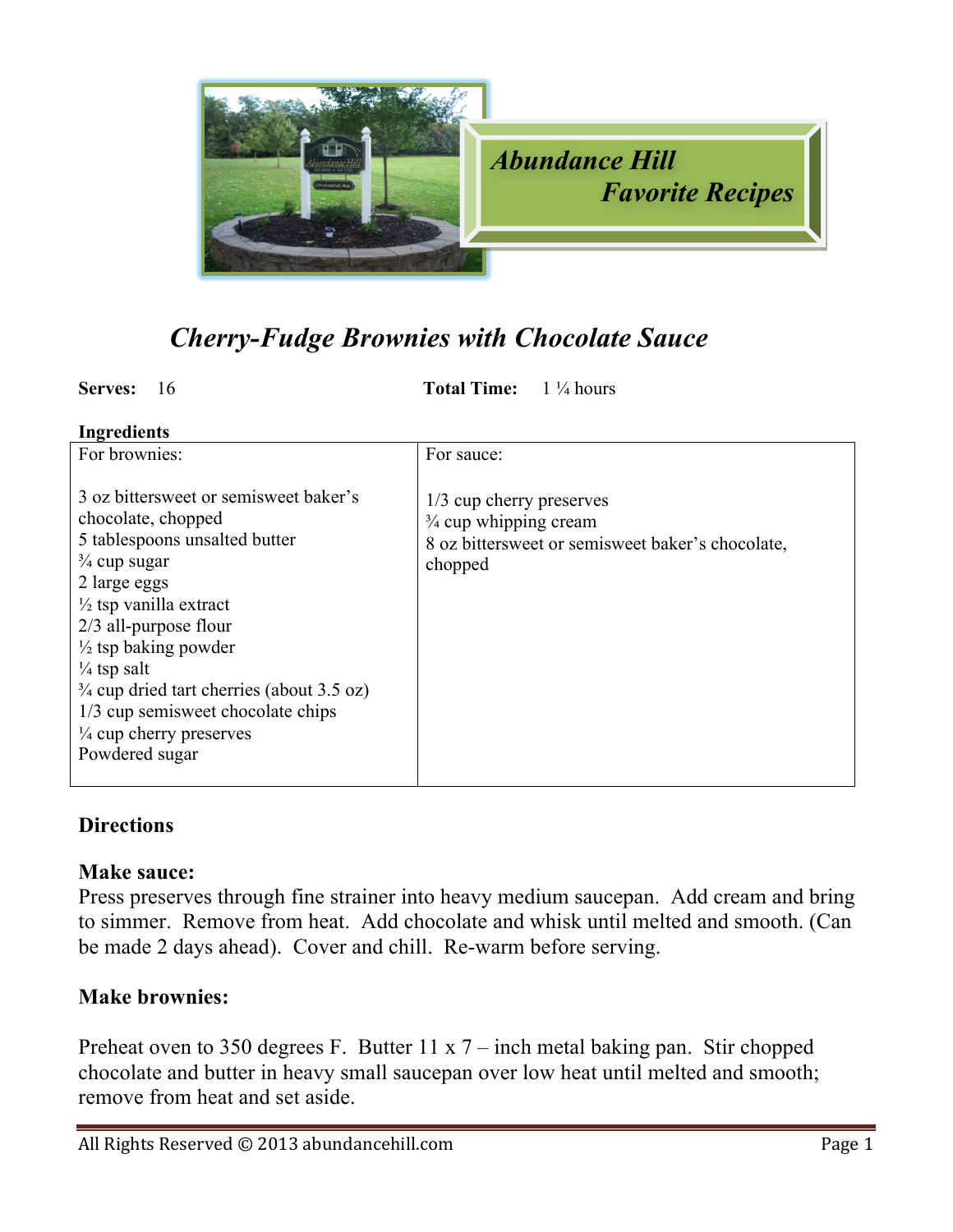

## *Cherry-Fudge Brownies with Chocolate Sauce*

**Serves:** 16 **Total Time:**  $1\frac{1}{4}$  hours

| <b>Ingredients</b> |  |  |  |  |
|--------------------|--|--|--|--|
|--------------------|--|--|--|--|

| For brownies:                                                                                                                                                                                                                                                                                                                                                                                                             | For sauce:                                                                                                                  |
|---------------------------------------------------------------------------------------------------------------------------------------------------------------------------------------------------------------------------------------------------------------------------------------------------------------------------------------------------------------------------------------------------------------------------|-----------------------------------------------------------------------------------------------------------------------------|
| 3 oz bittersweet or semisweet baker's<br>chocolate, chopped<br>5 tablespoons unsalted butter<br>$\frac{3}{4}$ cup sugar<br>2 large eggs<br>$\frac{1}{2}$ tsp vanilla extract<br>$2/3$ all-purpose flour<br>$\frac{1}{2}$ tsp baking powder<br>$\frac{1}{4}$ tsp salt<br>$\frac{3}{4}$ cup dried tart cherries (about 3.5 oz)<br>1/3 cup semisweet chocolate chips<br>$\frac{1}{4}$ cup cherry preserves<br>Powdered sugar | 1/3 cup cherry preserves<br>$\frac{3}{4}$ cup whipping cream<br>8 oz bittersweet or semisweet baker's chocolate,<br>chopped |

## **Directions**

## **Make sauce:**

Press preserves through fine strainer into heavy medium saucepan. Add cream and bring to simmer. Remove from heat. Add chocolate and whisk until melted and smooth. (Can be made 2 days ahead). Cover and chill. Re-warm before serving.

## **Make brownies:**

Preheat oven to 350 degrees F. Butter 11 x 7 – inch metal baking pan. Stir chopped chocolate and butter in heavy small saucepan over low heat until melted and smooth; remove from heat and set aside.